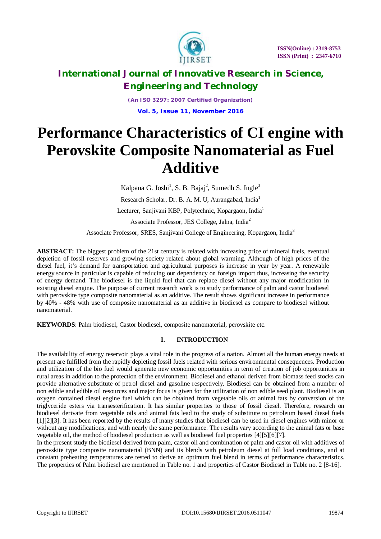

*(An ISO 3297: 2007 Certified Organization)* **Vol. 5, Issue 11, November 2016**

# **Performance Characteristics of CI engine with Perovskite Composite Nanomaterial as Fuel Additive**

Kalpana G. Joshi<sup>1</sup>, S. B. Bajaj<sup>2</sup>, Sumedh S. Ingle<sup>3</sup> Research Scholar, Dr. B. A. M. U, Aurangabad, India<sup>1</sup> Lecturer, Sanjivani KBP, Polytechnic, Kopargaon, India<sup>1</sup> Associate Professor, JES College, Jalna, India<sup>2</sup>

Associate Professor, SRES, Sanjivani College of Engineering, Kopargaon, India<sup>3</sup>

**ABSTRACT:** The biggest problem of the 21st century is related with increasing price of mineral fuels, eventual depletion of fossil reserves and growing society related about global warming. Although of high prices of the diesel fuel, it's demand for transportation and agricultural purposes is increase in year by year. A renewable energy source in particular is capable of reducing our dependency on foreign import thus, increasing the security of energy demand. The biodiesel is the liquid fuel that can replace diesel without any major modification in existing diesel engine. The purpose of current research work is to study performance of palm and castor biodiesel with perovskite type composite nanomaterial as an additive. The result shows significant increase in performance by 40% - 48% with use of composite nanomaterial as an additive in biodiesel as compare to biodiesel without nanomaterial.

**KEYWORDS**: Palm biodiesel, Castor biodiesel, composite nanomaterial, perovskite etc.

### **I. INTRODUCTION**

The availability of energy reservoir plays a vital role in the progress of a nation. Almost all the human energy needs at present are fulfilled from the rapidly depleting fossil fuels related with serious environmental consequences. Production and utilization of the bio fuel would generate new economic opportunities in term of creation of job opportunities in rural areas in addition to the protection of the environment. Biodiesel and ethanol derived from biomass feed stocks can provide alternative substitute of petrol diesel and gasoline respectively. Biodiesel can be obtained from a number of non edible and edible oil resources and major focus is given for the utilization of non edible seed plant. Biodiesel is an oxygen contained diesel engine fuel which can be obtained from vegetable oils or animal fats by conversion of the triglyceride esters via transesterification. It has similar properties to those of fossil diesel. Therefore, research on biodiesel derivate from vegetable oils and animal fats lead to the study of substitute to petroleum based diesel fuels [1][2][3]. It has been reported by the results of many studies that biodiesel can be used in diesel engines with minor or without any modifications, and with nearly the same performance. The results vary according to the animal fats or base vegetable oil, the method of biodiesel production as well as biodiesel fuel properties [4][5][6][7].

In the present study the biodiesel derived from palm, castor oil and combination of palm and castor oil with additives of perovskite type composite nanomaterial (BNN) and its blends with petroleum diesel at full load conditions, and at constant preheating temperatures are tested to derive an optimum fuel blend in terms of performance characteristics. The properties of Palm biodiesel are mentioned in Table no. 1 and properties of Castor Biodiesel in Table no. 2 [8-16].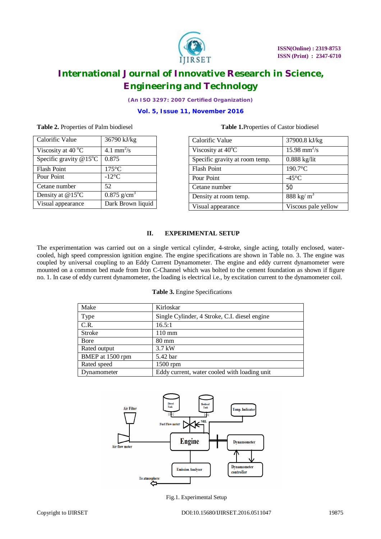

*(An ISO 3297: 2007 Certified Organization)*

### **Vol. 5, Issue 11, November 2016**

### **Table 2.** Properties of Palm biodiesel **Table 1.**Properties of Castor biodiesel

| 36790 kJ/kg               |
|---------------------------|
| 4.1 mm <sup>2</sup> /s    |
| 0.875                     |
| $175^{\circ}$ C           |
| $-12^{\circ}$ C           |
| 52                        |
| $0.875$ g/cm <sup>3</sup> |
| Dark Brown liquid         |
|                           |

| Calorific Value                | 37900.8 kJ/kg              |
|--------------------------------|----------------------------|
| Viscosity at 40°C              | $15.98$ mm <sup>2</sup> /s |
| Specific gravity at room temp. | $0.888$ kg/lit             |
| <b>Flash Point</b>             | 190.7°C                    |
| Pour Point                     | $-45^{\circ}$ C            |
| Cetane number                  | 50                         |
| Density at room temp.          | 888 kg/ $m^3$              |
| Visual appearance              | Viscous pale yellow        |

### **II. EXPERIMENTAL SETUP**

The experimentation was carried out on a single vertical cylinder, 4-stroke, single acting, totally enclosed, watercooled, high speed compression ignition engine. The engine specifications are shown in Table no. 3. The engine was coupled by universal coupling to an Eddy Current Dynamometer. The engine and eddy current dynamometer were mounted on a common bed made from Iron C-Channel which was bolted to the cement foundation as shown if figure no. 1. In case of eddy current dynamometer, the loading is electrical i.e., by excitation current to the dynamometer coil.

#### **Table 3.** Engine Specifications

| Make             | Kirloskar                                     |
|------------------|-----------------------------------------------|
| Type             | Single Cylinder, 4 Stroke, C.I. diesel engine |
| C.R.             | 16.5:1                                        |
| Stroke           | $110 \text{ mm}$                              |
| Bore             | $80 \text{ mm}$                               |
| Rated output     | $3.7$ kW                                      |
| BMEP at 1500 rpm | 5.42 bar                                      |
| Rated speed      | 1500 rpm                                      |
| Dynamometer      | Eddy current, water cooled with loading unit  |
|                  |                                               |



Fig.1. Experimental Setup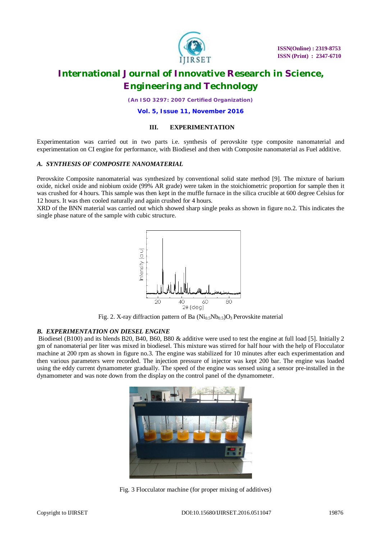

*(An ISO 3297: 2007 Certified Organization)*

**Vol. 5, Issue 11, November 2016**

#### **III. EXPERIMENTATION**

Experimentation was carried out in two parts i.e. synthesis of perovskite type composite nanomaterial and experimentation on CI engine for performance, with Biodiesel and then with Composite nanomaterial as Fuel additive.

### *A. SYNTHESIS OF COMPOSITE NANOMATERIAL*

Perovskite Composite nanomaterial was synthesized by conventional solid state method [9]. The mixture of barium oxide, nickel oxide and niobium oxide (99% AR grade) were taken in the stoichiometric proportion for sample then it was crushed for 4 hours. This sample was then kept in the muffle furnace in the silica crucible at 600 degree Celsius for 12 hours. It was then cooled naturally and again crushed for 4 hours.

XRD of the BNN material was carried out which showed sharp single peaks as shown in figure no.2. This indicates the single phase nature of the sample with cubic structure.



Fig. 2. X-ray diffraction pattern of Ba  $(Ni<sub>0.5</sub>Nb<sub>0.5</sub>)O<sub>3</sub>$  Perovskite material

### *B. EXPERIMENTATION ON DIESEL ENGINE*

Biodiesel (B100) and its blends B20, B40, B60, B80 & additive were used to test the engine at full load [5]. Initially 2 gm of nanomaterial per liter was mixed in biodiesel. This mixture was stirred for half hour with the help of Flocculator machine at 200 rpm as shown in figure no.3. The engine was stabilized for 10 minutes after each experimentation and then various parameters were recorded. The injection pressure of injector was kept 200 bar. The engine was loaded using the eddy current dynamometer gradually. The speed of the engine was sensed using a sensor pre-installed in the dynamometer and was note down from the display on the control panel of the dynamometer.



Fig. 3 Flocculator machine (for proper mixing of additives)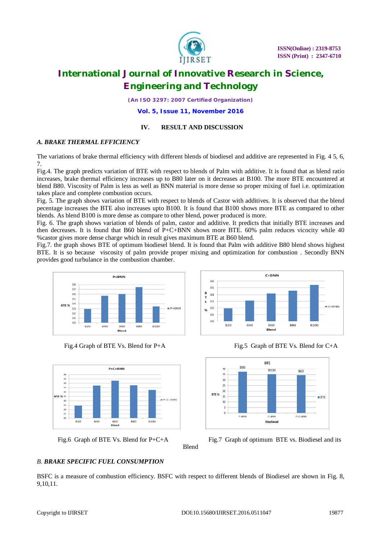

*(An ISO 3297: 2007 Certified Organization)*

**Vol. 5, Issue 11, November 2016**

### **IV. RESULT AND DISCUSSION**

### *A. BRAKE THERMAL EFFICIENCY*

The variations of brake thermal efficiency with different blends of biodiesel and additive are represented in Fig. 4 5, 6, 7.

Fig.4. The graph predicts variation of BTE with respect to blends of Palm with additive. It is found that as blend ratio increases, brake thermal efficiency increases up to B80 later on it decreases at B100. The more BTE encountered at blend B80. Viscosity of Palm is less as well as BNN material is more dense so proper mixing of fuel i.e. optimization takes place and complete combustion occurs.

Fig. 5. The graph shows variation of BTE with respect to blends of Castor with additives. It is observed that the blend pecentage increases the BTE also increases upto B100. It is found that B100 shows more BTE as compared to other blends. As blend B100 is more dense as compare to other blend, power produced is more.

Fig. 6. The graph shows variation of blends of palm, castor and additive. It predicts that initially BTE increases and then decreases. It is found that B60 blend of P+C+BNN shows more BTE. 60% palm reduces vicocity while 40 %castor gives more dense charge which in result gives maximum BTE at B60 blend.

Fig.7. the graph shows BTE of optimum biodiesel blend. It is found that Palm with additive B80 blend shows highest BTE. It is so because viscosity of palm provide proper mixing and optimization for combustion . Secondly BNN provides good turbulance in the combustion chamber.

 $36$ 









 $C + BNN$ 





Fig.6 Graph of BTE Vs. Blend for P+C+A Fig.7 Graph of optimum BTE vs. Biodiesel and its

### *B. BRAKE SPECIFIC FUEL CONSUMPTION*

BSFC is a measure of combustion efficiency. BSFC with respect to different blends of Biodiesel are shown in Fig. 8, 9,10,11.

Blend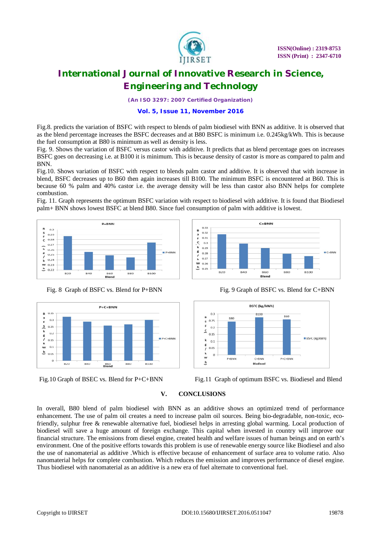

*(An ISO 3297: 2007 Certified Organization)*

### **Vol. 5, Issue 11, November 2016**

Fig.8. predicts the variation of BSFC with respect to blends of palm biodiesel with BNN as additive. It is observed that as the blend percentage increases the BSFC decreases and at B80 BSFC is minimum i.e. 0.245kg/kWh. This is because the fuel consumption at B80 is minimum as well as density is less.

Fig. 9. Shows the variation of BSFC versus castor with additive. It predicts that as blend percentage goes on increases BSFC goes on decreasing i.e. at B100 it is minimum. This is because density of castor is more as compared to palm and BNN.

Fig.10. Shows variation of BSFC with respect to blends palm castor and additive. It is observed that with increase in blend, BSFC decreases up to B60 then again increases till B100. The minimum BSFC is encountered at B60. This is because 60 % palm and 40% castor i.e. the average density will be less than castor also BNN helps for complete combustion.

Fig. 11. Graph represents the optimum BSFC variation with respect to biodiesel with additive. It is found that Biodiesel palm+ BNN shows lowest BSFC at blend B80. Since fuel consumption of palm with additive is lowest.

 $0.33$ 

 $0.32$ 

 $0.31$ 

 $0.3$ 

 $0.28$ 

 $0.27$ **W** 0.26<br> $h$  0.25

B<sub>20</sub>

B<sub>40</sub>

B<br>S<br>F<br>C

 $\sqrt{\mathbf{k}}$  $0.29$  $\frac{1}{k}$ 











**B80** 

**B100** 

 $C+BNN$ 

**B60** 



Fig.10 Graph of BSEC vs. Blend for P+C+BNN Fig.11 Graph of optimum BSFC vs. Biodiesel and Blend

### **V. CONCLUSIONS**

In overall, B80 blend of palm biodiesel with BNN as an additive shows an optimized trend of performance enhancement. The use of palm oil creates a need to increase palm oil sources. Being bio-degradable, non-toxic, ecofriendly, sulphur free & renewable alternative fuel, biodiesel helps in arresting global warming. Local production of biodiesel will save a huge amount of foreign exchange. This capital when invested in country will improve our financial structure. The emissions from diesel engine, created health and welfare issues of human beings and on earth's environment. One of the positive efforts towards this problem is use of renewable energy source like Biodiesel and also the use of nanomaterial as additive .Which is effective because of enhancement of surface area to volume ratio. Also nanomaterial helps for complete combustion. Which reduces the emission and improves performance of diesel engine. Thus biodiesel with nanomaterial as an additive is a new era of fuel alternate to conventional fuel.

 $C+RNN$